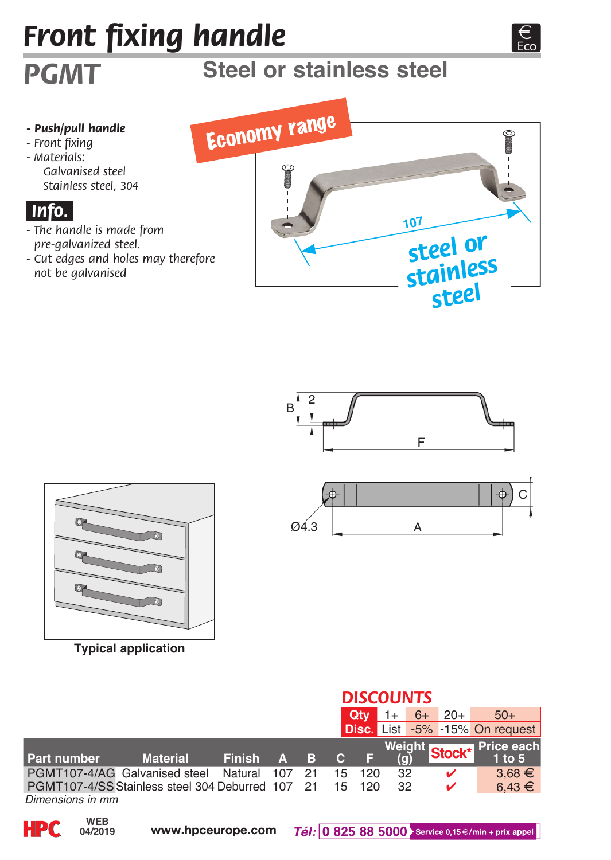# *Front fixing handle*

# **Steel or stainless steel**

#### *- Push/pull handle*

*- Front fixing - Materials:* 

*PGMT*

*Galvanised steel Stainless steel, 304*

### *.Info..*

- *The handle is made from pre-galvanized steel.*
- *Cut edges and holes may therefore not be galvanised*







**Typical application**



|                               |                                                  |               |   |   | <b>DISCOUNTS</b> |            |     |      |       |                                      |  |
|-------------------------------|--------------------------------------------------|---------------|---|---|------------------|------------|-----|------|-------|--------------------------------------|--|
|                               |                                                  |               |   |   |                  | <b>Qtv</b> |     | $6+$ | $20+$ | $50+$                                |  |
|                               |                                                  |               |   |   |                  |            |     |      |       | Disc. List -5% -15% On request       |  |
|                               |                                                  |               |   |   |                  |            |     |      |       | Weight Stock <sup>*</sup> Price each |  |
| Part number                   | <b>Material</b>                                  | <b>Finish</b> | Α | в | C.               |            | (q) |      |       | $1$ to $5$                           |  |
| PGMT107-4/AG Galvanised steel |                                                  | Natural       |   |   | 15               | 120        | 32  |      |       | $3.68 \in$                           |  |
|                               | PGMT107-4/SS Stainless steel 304 Deburred 107 21 |               |   |   | 15               | 120        | 32  |      |       | $6.43 \in$                           |  |
|                               |                                                  |               |   |   |                  |            |     |      |       |                                      |  |

*Dimensions in mm*

**04/2019**